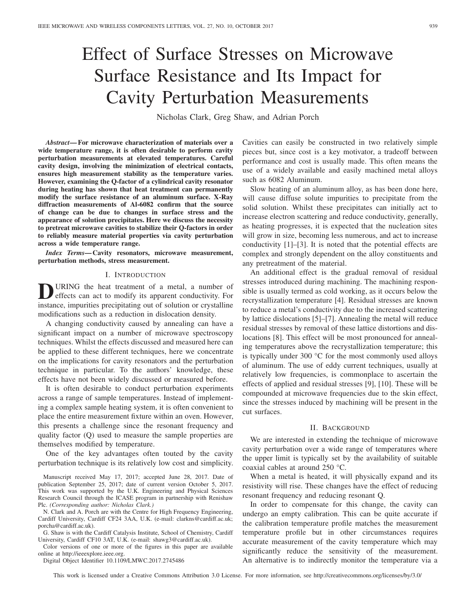# Effect of Surface Stresses on Microwave Surface Resistance and Its Impact for Cavity Perturbation Measurements

Nicholas Clark, Greg Shaw, and Adrian Porch

*Abstract***— For microwave characterization of materials over a wide temperature range, it is often desirable to perform cavity perturbation measurements at elevated temperatures. Careful cavity design, involving the minimization of electrical contacts, ensures high measurement stability as the temperature varies. However, examining the Q-factor of a cylindrical cavity resonator during heating has shown that heat treatment can permanently modify the surface resistance of an aluminum surface. X-Ray diffraction measurements of Al-6082 confirm that the source of change can be due to changes in surface stress and the appearance of solution precipitates. Here we discuss the necessity to pretreat microwave cavities to stabilize their Q-factors in order to reliably measure material properties via cavity perturbation across a wide temperature range.**

*Index Terms***— Cavity resonators, microwave measurement, perturbation methods, stress measurement.**

#### I. INTRODUCTION

**D**URING the heat treatment of a metal, a number of effects can act to modify its apparent conductivity. For instance, impurities precipitating out of solution or crystalline modifications such as a reduction in dislocation density.

A changing conductivity caused by annealing can have a significant impact on a number of microwave spectroscopy techniques. Whilst the effects discussed and measured here can be applied to these different techniques, here we concentrate on the implications for cavity resonators and the perturbation technique in particular. To the authors' knowledge, these effects have not been widely discussed or measured before.

It is often desirable to conduct perturbation experiments across a range of sample temperatures. Instead of implementing a complex sample heating system, it is often convenient to place the entire measurement fixture within an oven. However, this presents a challenge since the resonant frequency and quality factor (Q) used to measure the sample properties are themselves modified by temperature.

One of the key advantages often touted by the cavity perturbation technique is its relatively low cost and simplicity.

Manuscript received May 17, 2017; accepted June 28, 2017. Date of publication September 25, 2017; date of current version October 5, 2017. This work was supported by the U.K. Engineering and Physical Sciences Research Council through the ICASE program in partnership with Renishaw Plc. *(Corresponding author: Nicholas Clark.)*

N. Clark and A. Porch are with the Centre for High Frequency Engineering, Cardiff University, Cardiff CF24 3AA, U.K. (e-mail: clarkns@cardiff.ac.uk; porcha@cardiff.ac.uk).

G. Shaw is with the Cardiff Catalysis Institute, School of Chemistry, Cardiff University, Cardiff CF10 3AT, U.K. (e-mail: shawg3@cardiff.ac.uk).

Color versions of one or more of the figures in this paper are available online at http://ieeexplore.ieee.org.

Digital Object Identifier 10.1109/LMWC.2017.2745486

Cavities can easily be constructed in two relatively simple pieces but, since cost is a key motivator, a tradeoff between performance and cost is usually made. This often means the use of a widely available and easily machined metal alloys such as 6082 Aluminum.

Slow heating of an aluminum alloy, as has been done here, will cause diffuse solute impurities to precipitate from the solid solution. Whilst these precipitates can initially act to increase electron scattering and reduce conductivity, generally, as heating progresses, it is expected that the nucleation sites will grow in size, becoming less numerous, and act to increase conductivity [1]–[3]. It is noted that the potential effects are complex and strongly dependent on the alloy constituents and any pretreatment of the material.

An additional effect is the gradual removal of residual stresses introduced during machining. The machining responsible is usually termed as cold working, as it occurs below the recrystallization temperature [4]. Residual stresses are known to reduce a metal's conductivity due to the increased scattering by lattice dislocations [5]–[7]. Annealing the metal will reduce residual stresses by removal of these lattice distortions and dislocations [8]. This effect will be most pronounced for annealing temperatures above the recrystallization temperature; this is typically under 300 °C for the most commonly used alloys of aluminum. The use of eddy current techniques, usually at relatively low frequencies, is commonplace to ascertain the effects of applied and residual stresses [9], [10]. These will be compounded at microwave frequencies due to the skin effect, since the stresses induced by machining will be present in the cut surfaces.

#### II. BACKGROUND

We are interested in extending the technique of microwave cavity perturbation over a wide range of temperatures where the upper limit is typically set by the availability of suitable coaxial cables at around 250 °C.

When a metal is heated, it will physically expand and its resistivity will rise. These changes have the effect of reducing resonant frequency and reducing resonant Q.

In order to compensate for this change, the cavity can undergo an empty calibration. This can be quite accurate if the calibration temperature profile matches the measurement temperature profile but in other circumstances requires accurate measurement of the cavity temperature which may significantly reduce the sensitivity of the measurement. An alternative is to indirectly monitor the temperature via a

This work is licensed under a Creative Commons Attribution 3.0 License. For more information, see http://creativecommons.org/licenses/by/3.0/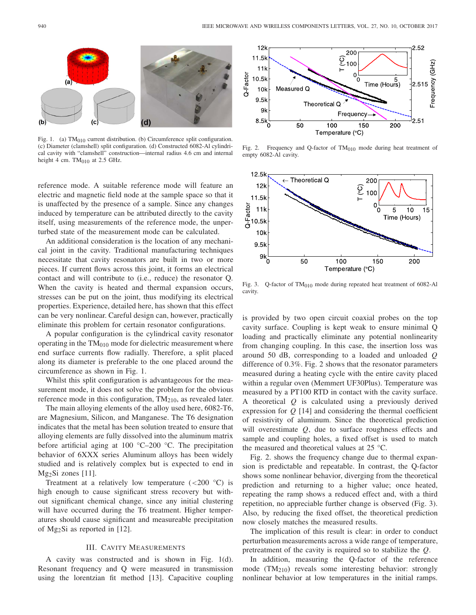

Fig. 1. (a)  $TM<sub>010</sub>$  current distribution. (b) Circumference split configuration. (c) Diameter (clamshell) split configuration. (d) Constructed 6082-Al cylindrical cavity with "clamshell" construction—internal radius 4.6 cm and internal height 4 cm.  $TM<sub>010</sub>$  at 2.5 GHz.

reference mode. A suitable reference mode will feature an electric and magnetic field node at the sample space so that it is unaffected by the presence of a sample. Since any changes induced by temperature can be attributed directly to the cavity itself, using measurements of the reference mode, the unperturbed state of the measurement mode can be calculated.

An additional consideration is the location of any mechanical joint in the cavity. Traditional manufacturing techniques necessitate that cavity resonators are built in two or more pieces. If current flows across this joint, it forms an electrical contact and will contribute to (i.e., reduce) the resonator Q. When the cavity is heated and thermal expansion occurs, stresses can be put on the joint, thus modifying its electrical properties. Experience, detailed here, has shown that this effect can be very nonlinear. Careful design can, however, practically eliminate this problem for certain resonator configurations.

A popular configuration is the cylindrical cavity resonator operating in the  $TM<sub>010</sub>$  mode for dielectric measurement where end surface currents flow radially. Therefore, a split placed along its diameter is preferable to the one placed around the circumference as shown in Fig. 1.

Whilst this split configuration is advantageous for the measurement mode, it does not solve the problem for the obvious reference mode in this configuration,  $TM<sub>210</sub>$ , as revealed later.

The main alloying elements of the alloy used here, 6082-T6, are Magnesium, Silicon, and Manganese. The T6 designation indicates that the metal has been solution treated to ensure that alloying elements are fully dissolved into the aluminum matrix before artificial aging at 100 °C–200 °C. The precipitation behavior of 6XXX series Aluminum alloys has been widely studied and is relatively complex but is expected to end in  $Mg<sub>2</sub>Si$  zones [11].

Treatment at a relatively low temperature (*<*200 °C) is high enough to cause significant stress recovery but without significant chemical change, since any initial clustering will have occurred during the T6 treatment. Higher temperatures should cause significant and measureable precipitation of Mg2Si as reported in [12].

## III. CAVITY MEASUREMENTS

A cavity was constructed and is shown in Fig. 1(d). Resonant frequency and Q were measured in transmission using the lorentzian fit method [13]. Capacitive coupling



Fig. 2. Frequency and Q-factor of  $TM<sub>010</sub>$  mode during heat treatment of empty 6082-Al cavity.



Fig. 3. Q-factor of  $TM<sub>010</sub>$  mode during repeated heat treatment of 6082-Al cavity.

is provided by two open circuit coaxial probes on the top cavity surface. Coupling is kept weak to ensure minimal Q loading and practically eliminate any potential nonlinearity from changing coupling. In this case, the insertion loss was around 50 dB, corresponding to a loaded and unloaded *Q* difference of 0.3%. Fig. 2 shows that the resonator parameters measured during a heating cycle with the entire cavity placed within a regular oven (Memmert UF30Plus). Temperature was measured by a PT100 RTD in contact with the cavity surface. A theoretical *Q* is calculated using a previously derived expression for *Q* [14] and considering the thermal coefficient of resistivity of aluminum. Since the theoretical prediction will overestimate *Q*, due to surface roughness effects and sample and coupling holes, a fixed offset is used to match the measured and theoretical values at 25 °C.

Fig. 2. shows the frequency change due to thermal expansion is predictable and repeatable. In contrast, the Q-factor shows some nonlinear behavior, diverging from the theoretical prediction and returning to a higher value; once heated, repeating the ramp shows a reduced effect and, with a third repetition, no appreciable further change is observed (Fig. 3). Also, by reducing the fixed offset, the theoretical prediction now closely matches the measured results.

The implication of this result is clear: in order to conduct perturbation measurements across a wide range of temperature, pretreatment of the cavity is required so to stabilize the *Q*.

In addition, measuring the Q-factor of the reference mode (TM210*)* reveals some interesting behavior: strongly nonlinear behavior at low temperatures in the initial ramps.